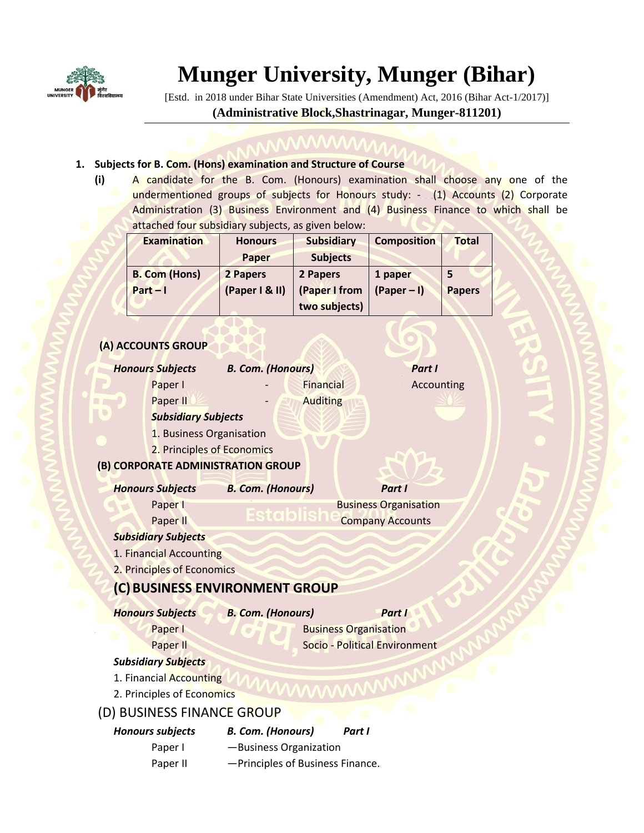

# **Munger University, Munger (Bihar)**

[Estd. in 2018 under Bihar State Universities (Amendment) Act, 2016 (Bihar Act-1/2017)] **(Administrative Block,Shastrinagar, Munger-811201)**

#### **1. Subjects for B. Com. (Hons) examination and Structure of Course**

**(i)** A candidate for the B. Com. (Honours) examination shall choose any one of the undermentioned groups of subjects for Honours study: - (1) Accounts (2) Corporate Administration (3) Business Environment and (4) Business Finance to which shall be attached four subsidiary subjects, as given below:

| <b>Examination</b>   | <b>Honours</b> | <b>Subsidiary</b> | <b>Composition</b> | <b>Total</b>  |
|----------------------|----------------|-------------------|--------------------|---------------|
|                      | Paper          | <b>Subjects</b>   |                    |               |
| <b>B. Com (Hons)</b> | 2 Papers       | 2 Papers          | 1 paper            |               |
| $Part - 1$           | (Paper I & II) | (Paper I from     | $(Paper - I)$      | <b>Papers</b> |
|                      |                | two subjects)     |                    |               |

### **(A) ACCOUNTS GROUP**

|                         | <b>Honours Subjects</b>    | <b>B. Com. (Honours)</b>           |                  |                               | Part I     |  |  |  |
|-------------------------|----------------------------|------------------------------------|------------------|-------------------------------|------------|--|--|--|
|                         | Paper I                    |                                    | <b>Financial</b> |                               | Accounting |  |  |  |
|                         | Paper II                   |                                    | <b>Auditing</b>  |                               |            |  |  |  |
|                         | <b>Subsidiary Subjects</b> |                                    |                  |                               |            |  |  |  |
|                         | 1. Business Organisation   |                                    |                  |                               |            |  |  |  |
|                         | 2. Principles of Economics |                                    |                  |                               |            |  |  |  |
|                         |                            | (B) CORPORATE ADMINISTRATION GROUP |                  |                               |            |  |  |  |
| <b>Honours Subjects</b> |                            | <b>B. Com. (Honours)</b>           |                  | Part I                        |            |  |  |  |
|                         | Paper I                    |                                    |                  | <b>Business Organisation</b>  |            |  |  |  |
|                         | Paper II                   | Establ<br><b>Company Accounts</b>  |                  |                               |            |  |  |  |
|                         | <b>Subsidiary Subjects</b> |                                    |                  |                               |            |  |  |  |
|                         | 1. Financial Accounting    |                                    |                  |                               |            |  |  |  |
|                         | 2. Principles of Economics |                                    |                  |                               |            |  |  |  |
|                         |                            | (C) BUSINESS ENVIRONMENT GROUP     |                  |                               |            |  |  |  |
| <b>Honours Subjects</b> |                            | <b>B. Com. (Honours)</b>           |                  | Part I                        |            |  |  |  |
|                         | Paper I                    |                                    |                  | <b>Business Organisation</b>  |            |  |  |  |
|                         | Paper II                   |                                    |                  | Socio - Political Environment |            |  |  |  |
|                         | <b>Subsidiary Subjects</b> |                                    |                  |                               |            |  |  |  |
|                         | 1. Financial Accounting    |                                    |                  |                               |            |  |  |  |
|                         | 2. Principles of Economics |                                    |                  |                               |            |  |  |  |
|                         | (D) BUSINESS FINANCE GROUP |                                    |                  |                               |            |  |  |  |
| <b>Honours subjects</b> |                            | <b>B. Com. (Honours)</b>           |                  | Part I                        |            |  |  |  |
|                         | Paper I                    | -Business Organization             |                  |                               |            |  |  |  |
|                         | Paper II                   | -Principles of Business Finance.   |                  |                               |            |  |  |  |